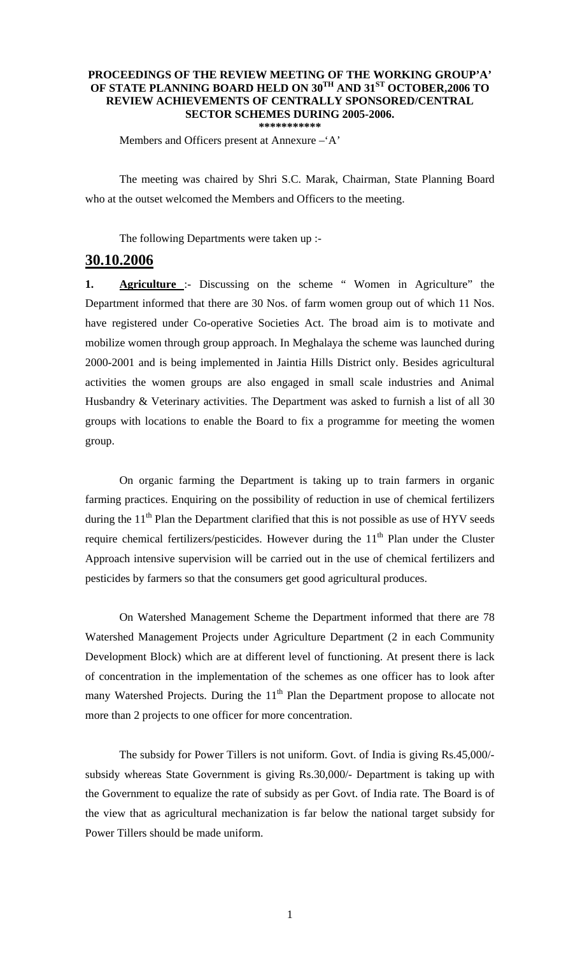## **PROCEEDINGS OF THE REVIEW MEETING OF THE WORKING GROUP'A' OF STATE PLANNING BOARD HELD ON 30TH AND 31ST OCTOBER,2006 TO REVIEW ACHIEVEMENTS OF CENTRALLY SPONSORED/CENTRAL SECTOR SCHEMES DURING 2005-2006. \*\*\*\*\*\*\*\*\*\*\***

Members and Officers present at Annexure –'A'

The meeting was chaired by Shri S.C. Marak, Chairman, State Planning Board who at the outset welcomed the Members and Officers to the meeting.

The following Departments were taken up :-

## **30.10.2006**

**1. Agriculture** :- Discussing on the scheme " Women in Agriculture" the Department informed that there are 30 Nos. of farm women group out of which 11 Nos. have registered under Co-operative Societies Act. The broad aim is to motivate and mobilize women through group approach. In Meghalaya the scheme was launched during 2000-2001 and is being implemented in Jaintia Hills District only. Besides agricultural activities the women groups are also engaged in small scale industries and Animal Husbandry & Veterinary activities. The Department was asked to furnish a list of all 30 groups with locations to enable the Board to fix a programme for meeting the women group.

 On organic farming the Department is taking up to train farmers in organic farming practices. Enquiring on the possibility of reduction in use of chemical fertilizers during the  $11<sup>th</sup>$  Plan the Department clarified that this is not possible as use of HYV seeds require chemical fertilizers/pesticides. However during the  $11<sup>th</sup>$  Plan under the Cluster Approach intensive supervision will be carried out in the use of chemical fertilizers and pesticides by farmers so that the consumers get good agricultural produces.

 On Watershed Management Scheme the Department informed that there are 78 Watershed Management Projects under Agriculture Department (2 in each Community Development Block) which are at different level of functioning. At present there is lack of concentration in the implementation of the schemes as one officer has to look after many Watershed Projects. During the  $11<sup>th</sup>$  Plan the Department propose to allocate not more than 2 projects to one officer for more concentration.

 The subsidy for Power Tillers is not uniform. Govt. of India is giving Rs.45,000/ subsidy whereas State Government is giving Rs.30,000/- Department is taking up with the Government to equalize the rate of subsidy as per Govt. of India rate. The Board is of the view that as agricultural mechanization is far below the national target subsidy for Power Tillers should be made uniform.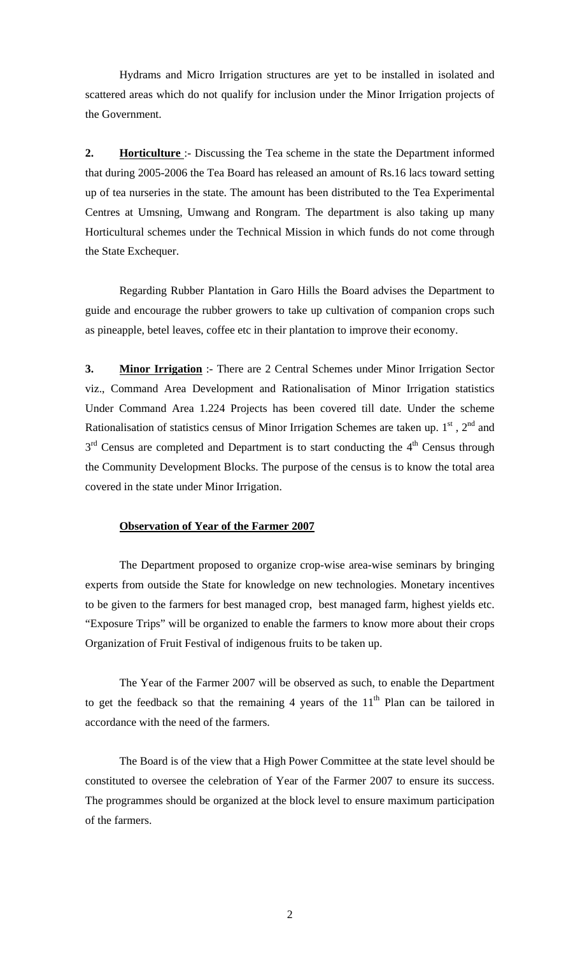Hydrams and Micro Irrigation structures are yet to be installed in isolated and scattered areas which do not qualify for inclusion under the Minor Irrigation projects of the Government.

**2. Horticulture** :- Discussing the Tea scheme in the state the Department informed that during 2005-2006 the Tea Board has released an amount of Rs.16 lacs toward setting up of tea nurseries in the state. The amount has been distributed to the Tea Experimental Centres at Umsning, Umwang and Rongram. The department is also taking up many Horticultural schemes under the Technical Mission in which funds do not come through the State Exchequer.

 Regarding Rubber Plantation in Garo Hills the Board advises the Department to guide and encourage the rubber growers to take up cultivation of companion crops such as pineapple, betel leaves, coffee etc in their plantation to improve their economy.

**3. Minor Irrigation** :- There are 2 Central Schemes under Minor Irrigation Sector viz., Command Area Development and Rationalisation of Minor Irrigation statistics Under Command Area 1.224 Projects has been covered till date. Under the scheme Rationalisation of statistics census of Minor Irrigation Schemes are taken up.  $1<sup>st</sup>$ ,  $2<sup>nd</sup>$  and  $3<sup>rd</sup>$  Census are completed and Department is to start conducting the  $4<sup>th</sup>$  Census through the Community Development Blocks. The purpose of the census is to know the total area covered in the state under Minor Irrigation.

## **Observation of Year of the Farmer 2007**

The Department proposed to organize crop-wise area-wise seminars by bringing experts from outside the State for knowledge on new technologies. Monetary incentives to be given to the farmers for best managed crop, best managed farm, highest yields etc. "Exposure Trips" will be organized to enable the farmers to know more about their crops Organization of Fruit Festival of indigenous fruits to be taken up.

 The Year of the Farmer 2007 will be observed as such, to enable the Department to get the feedback so that the remaining 4 years of the  $11<sup>th</sup>$  Plan can be tailored in accordance with the need of the farmers.

 The Board is of the view that a High Power Committee at the state level should be constituted to oversee the celebration of Year of the Farmer 2007 to ensure its success. The programmes should be organized at the block level to ensure maximum participation of the farmers.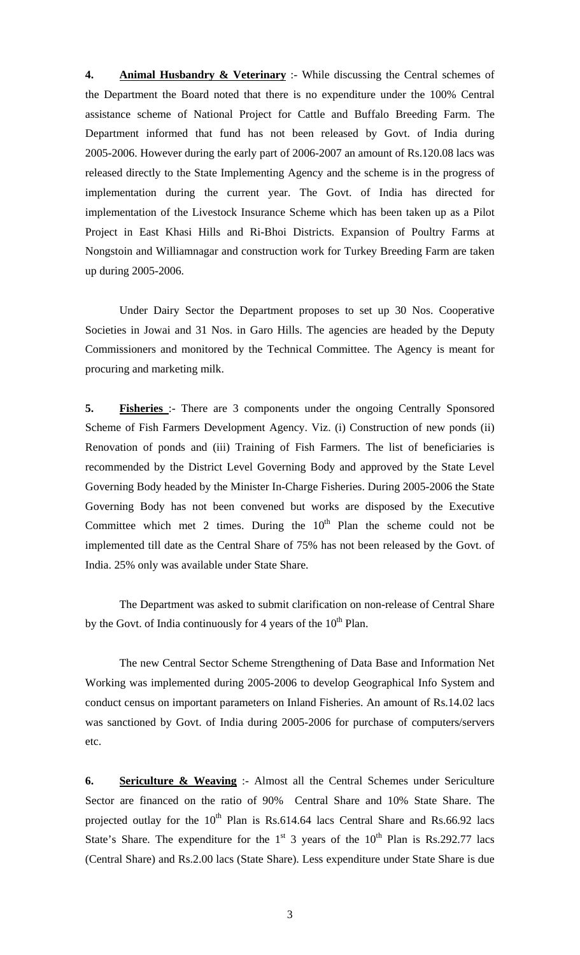**4. Animal Husbandry & Veterinary** :- While discussing the Central schemes of the Department the Board noted that there is no expenditure under the 100% Central assistance scheme of National Project for Cattle and Buffalo Breeding Farm. The Department informed that fund has not been released by Govt. of India during 2005-2006. However during the early part of 2006-2007 an amount of Rs.120.08 lacs was released directly to the State Implementing Agency and the scheme is in the progress of implementation during the current year. The Govt. of India has directed for implementation of the Livestock Insurance Scheme which has been taken up as a Pilot Project in East Khasi Hills and Ri-Bhoi Districts. Expansion of Poultry Farms at Nongstoin and Williamnagar and construction work for Turkey Breeding Farm are taken up during 2005-2006.

 Under Dairy Sector the Department proposes to set up 30 Nos. Cooperative Societies in Jowai and 31 Nos. in Garo Hills. The agencies are headed by the Deputy Commissioners and monitored by the Technical Committee. The Agency is meant for procuring and marketing milk.

**5. Fisheries** :- There are 3 components under the ongoing Centrally Sponsored Scheme of Fish Farmers Development Agency. Viz. (i) Construction of new ponds (ii) Renovation of ponds and (iii) Training of Fish Farmers. The list of beneficiaries is recommended by the District Level Governing Body and approved by the State Level Governing Body headed by the Minister In-Charge Fisheries. During 2005-2006 the State Governing Body has not been convened but works are disposed by the Executive Committee which met 2 times. During the  $10<sup>th</sup>$  Plan the scheme could not be implemented till date as the Central Share of 75% has not been released by the Govt. of India. 25% only was available under State Share.

 The Department was asked to submit clarification on non-release of Central Share by the Govt. of India continuously for 4 years of the  $10<sup>th</sup>$  Plan.

 The new Central Sector Scheme Strengthening of Data Base and Information Net Working was implemented during 2005-2006 to develop Geographical Info System and conduct census on important parameters on Inland Fisheries. An amount of Rs.14.02 lacs was sanctioned by Govt. of India during 2005-2006 for purchase of computers/servers etc.

**6. Sericulture & Weaving** :- Almost all the Central Schemes under Sericulture Sector are financed on the ratio of 90% Central Share and 10% State Share. The projected outlay for the  $10^{th}$  Plan is Rs.614.64 lacs Central Share and Rs.66.92 lacs State's Share. The expenditure for the  $1<sup>st</sup>$  3 years of the  $10<sup>th</sup>$  Plan is Rs.292.77 lacs (Central Share) and Rs.2.00 lacs (State Share). Less expenditure under State Share is due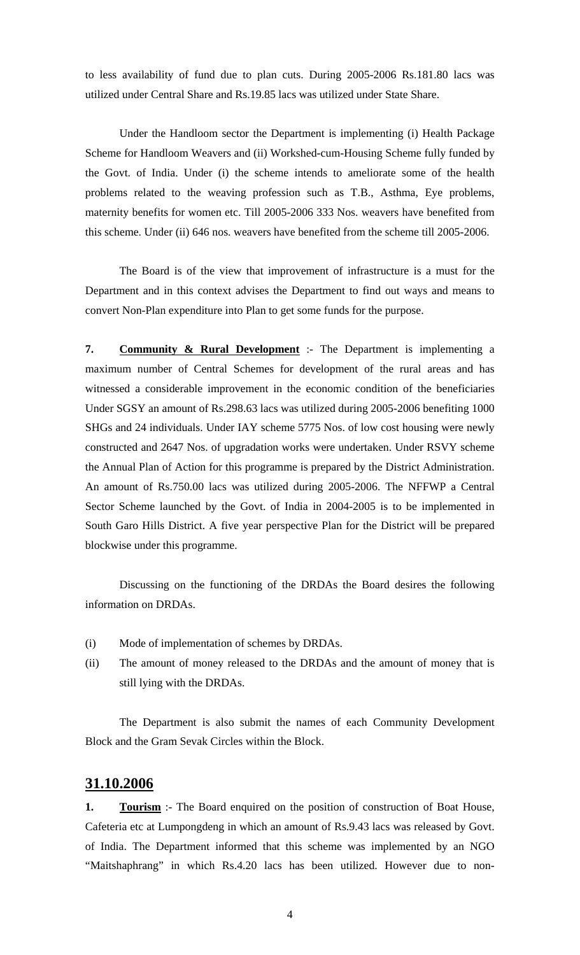to less availability of fund due to plan cuts. During 2005-2006 Rs.181.80 lacs was utilized under Central Share and Rs.19.85 lacs was utilized under State Share.

 Under the Handloom sector the Department is implementing (i) Health Package Scheme for Handloom Weavers and (ii) Workshed-cum-Housing Scheme fully funded by the Govt. of India. Under (i) the scheme intends to ameliorate some of the health problems related to the weaving profession such as T.B., Asthma, Eye problems, maternity benefits for women etc. Till 2005-2006 333 Nos. weavers have benefited from this scheme. Under (ii) 646 nos. weavers have benefited from the scheme till 2005-2006.

 The Board is of the view that improvement of infrastructure is a must for the Department and in this context advises the Department to find out ways and means to convert Non-Plan expenditure into Plan to get some funds for the purpose.

**7. Community & Rural Development** :- The Department is implementing a maximum number of Central Schemes for development of the rural areas and has witnessed a considerable improvement in the economic condition of the beneficiaries Under SGSY an amount of Rs.298.63 lacs was utilized during 2005-2006 benefiting 1000 SHGs and 24 individuals. Under IAY scheme 5775 Nos. of low cost housing were newly constructed and 2647 Nos. of upgradation works were undertaken. Under RSVY scheme the Annual Plan of Action for this programme is prepared by the District Administration. An amount of Rs.750.00 lacs was utilized during 2005-2006. The NFFWP a Central Sector Scheme launched by the Govt. of India in 2004-2005 is to be implemented in South Garo Hills District. A five year perspective Plan for the District will be prepared blockwise under this programme.

 Discussing on the functioning of the DRDAs the Board desires the following information on DRDAs.

- (i) Mode of implementation of schemes by DRDAs.
- (ii) The amount of money released to the DRDAs and the amount of money that is still lying with the DRDAs.

 The Department is also submit the names of each Community Development Block and the Gram Sevak Circles within the Block.

## **31.10.2006**

**1. Tourism** :- The Board enquired on the position of construction of Boat House, Cafeteria etc at Lumpongdeng in which an amount of Rs.9.43 lacs was released by Govt. of India. The Department informed that this scheme was implemented by an NGO "Maitshaphrang" in which Rs.4.20 lacs has been utilized. However due to non-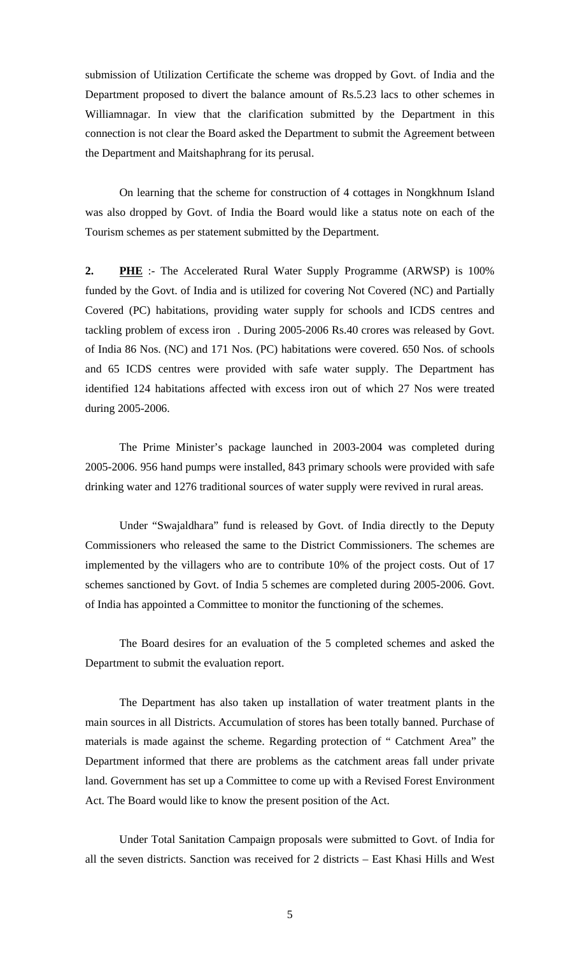submission of Utilization Certificate the scheme was dropped by Govt. of India and the Department proposed to divert the balance amount of Rs.5.23 lacs to other schemes in Williamnagar. In view that the clarification submitted by the Department in this connection is not clear the Board asked the Department to submit the Agreement between the Department and Maitshaphrang for its perusal.

 On learning that the scheme for construction of 4 cottages in Nongkhnum Island was also dropped by Govt. of India the Board would like a status note on each of the Tourism schemes as per statement submitted by the Department.

**2. PHE** :- The Accelerated Rural Water Supply Programme (ARWSP) is 100% funded by the Govt. of India and is utilized for covering Not Covered (NC) and Partially Covered (PC) habitations, providing water supply for schools and ICDS centres and tackling problem of excess iron . During 2005-2006 Rs.40 crores was released by Govt. of India 86 Nos. (NC) and 171 Nos. (PC) habitations were covered. 650 Nos. of schools and 65 ICDS centres were provided with safe water supply. The Department has identified 124 habitations affected with excess iron out of which 27 Nos were treated during 2005-2006.

 The Prime Minister's package launched in 2003-2004 was completed during 2005-2006. 956 hand pumps were installed, 843 primary schools were provided with safe drinking water and 1276 traditional sources of water supply were revived in rural areas.

 Under "Swajaldhara" fund is released by Govt. of India directly to the Deputy Commissioners who released the same to the District Commissioners. The schemes are implemented by the villagers who are to contribute 10% of the project costs. Out of 17 schemes sanctioned by Govt. of India 5 schemes are completed during 2005-2006. Govt. of India has appointed a Committee to monitor the functioning of the schemes.

 The Board desires for an evaluation of the 5 completed schemes and asked the Department to submit the evaluation report.

 The Department has also taken up installation of water treatment plants in the main sources in all Districts. Accumulation of stores has been totally banned. Purchase of materials is made against the scheme. Regarding protection of " Catchment Area" the Department informed that there are problems as the catchment areas fall under private land. Government has set up a Committee to come up with a Revised Forest Environment Act. The Board would like to know the present position of the Act.

 Under Total Sanitation Campaign proposals were submitted to Govt. of India for all the seven districts. Sanction was received for 2 districts – East Khasi Hills and West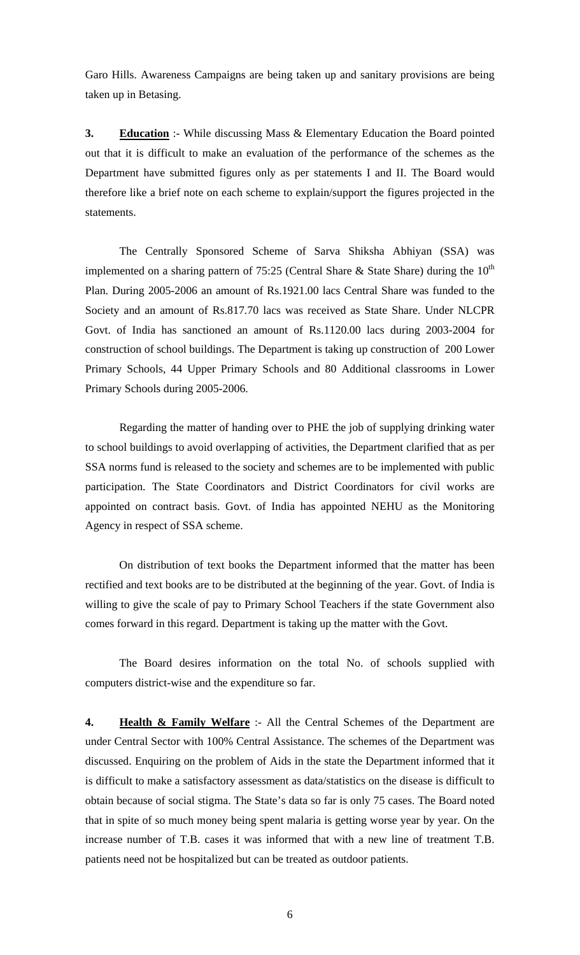Garo Hills. Awareness Campaigns are being taken up and sanitary provisions are being taken up in Betasing.

**3. Education** :- While discussing Mass & Elementary Education the Board pointed out that it is difficult to make an evaluation of the performance of the schemes as the Department have submitted figures only as per statements I and II. The Board would therefore like a brief note on each scheme to explain/support the figures projected in the statements.

 The Centrally Sponsored Scheme of Sarva Shiksha Abhiyan (SSA) was implemented on a sharing pattern of 75:25 (Central Share & State Share) during the  $10^{th}$ Plan. During 2005-2006 an amount of Rs.1921.00 lacs Central Share was funded to the Society and an amount of Rs.817.70 lacs was received as State Share. Under NLCPR Govt. of India has sanctioned an amount of Rs.1120.00 lacs during 2003-2004 for construction of school buildings. The Department is taking up construction of 200 Lower Primary Schools, 44 Upper Primary Schools and 80 Additional classrooms in Lower Primary Schools during 2005-2006.

 Regarding the matter of handing over to PHE the job of supplying drinking water to school buildings to avoid overlapping of activities, the Department clarified that as per SSA norms fund is released to the society and schemes are to be implemented with public participation. The State Coordinators and District Coordinators for civil works are appointed on contract basis. Govt. of India has appointed NEHU as the Monitoring Agency in respect of SSA scheme.

 On distribution of text books the Department informed that the matter has been rectified and text books are to be distributed at the beginning of the year. Govt. of India is willing to give the scale of pay to Primary School Teachers if the state Government also comes forward in this regard. Department is taking up the matter with the Govt.

 The Board desires information on the total No. of schools supplied with computers district-wise and the expenditure so far.

**4. Health & Family Welfare** :- All the Central Schemes of the Department are under Central Sector with 100% Central Assistance. The schemes of the Department was discussed. Enquiring on the problem of Aids in the state the Department informed that it is difficult to make a satisfactory assessment as data/statistics on the disease is difficult to obtain because of social stigma. The State's data so far is only 75 cases. The Board noted that in spite of so much money being spent malaria is getting worse year by year. On the increase number of T.B. cases it was informed that with a new line of treatment T.B. patients need not be hospitalized but can be treated as outdoor patients.